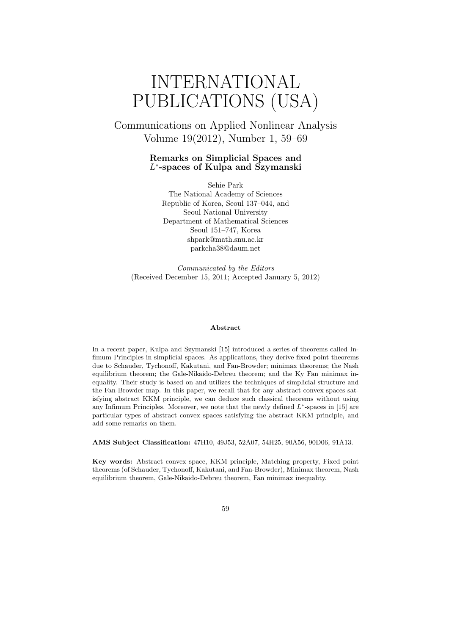# INTERNATIONAL PUBLICATIONS (USA)

Communications on Applied Nonlinear Analysis Volume 19(2012), Number 1, 59–69

#### **Remarks on Simplicial Spaces and** *L ∗* **-spaces of Kulpa and Szymanski**

Sehie Park The National Academy of Sciences Republic of Korea, Seoul 137–044, and Seoul National University Department of Mathematical Sciences Seoul 151–747, Korea shpark@math.snu.ac.kr parkcha38@daum.net

*Communicated by the Editors* (Received December 15, 2011; Accepted January 5, 2012)

#### **Abstract**

In a recent paper, Kulpa and Szymanski [15] introduced a series of theorems called Infimum Principles in simplicial spaces. As applications, they derive fixed point theorems due to Schauder, Tychonoff, Kakutani, and Fan-Browder; minimax theorems; the Nash equilibrium theorem; the Gale-Nikaido-Debreu theorem; and the Ky Fan minimax inequality. Their study is based on and utilizes the techniques of simplicial structure and the Fan-Browder map. In this paper, we recall that for any abstract convex spaces satisfying abstract KKM principle, we can deduce such classical theorems without using any Infimum Principles. Moreover, we note that the newly defined *L ∗* -spaces in [15] are particular types of abstract convex spaces satisfying the abstract KKM principle, and add some remarks on them.

**AMS Subject Classification:** 47H10, 49J53, 52A07, 54H25, 90A56, 90D06, 91A13.

**Key words:** Abstract convex space, KKM principle, Matching property, Fixed point theorems (of Schauder, Tychonoff, Kakutani, and Fan-Browder), Minimax theorem, Nash equilibrium theorem, Gale-Nikaido-Debreu theorem, Fan minimax inequality.

59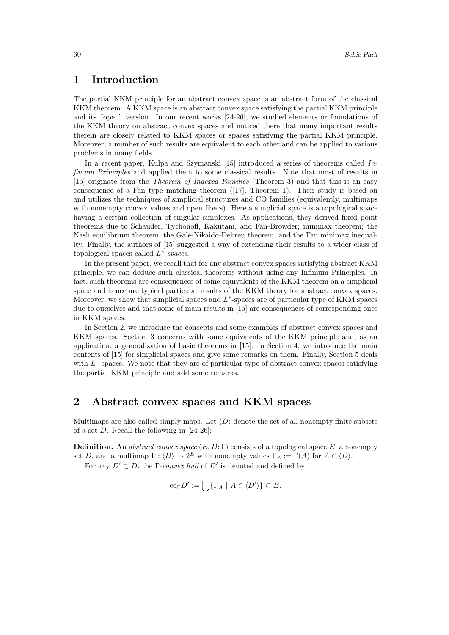### **1 Introduction**

The partial KKM principle for an abstract convex space is an abstract form of the classical KKM theorem. A KKM space is an abstract convex space satisfying the partial KKM principle and its "open" version. In our recent works [24-26], we studied elements or foundations of the KKM theory on abstract convex spaces and noticed there that many important results therein are closely related to KKM spaces or spaces satisfying the partial KKM principle. Moreover, a number of such results are equivalent to each other and can be applied to various problems in many fields.

In a recent paper, Kulpa and Szymanski [15] introduced a series of theorems called *Infimum Principles* and applied them to some classical results. Note that most of results in [15] originate from the *Theorem of Indexed Families* (Theorem 3) and that this is an easy consequence of a Fan type matching theorem ([17], Theorem 1). Their study is based on and utilizes the techniques of simplicial structures and CO families (equivalently, multimaps with nonempty convex values and open fibers). Here a simplicial space is a topological space having a certain collection of singular simplexes. As applications, they derived fixed point theorems due to Schauder, Tychonoff, Kakutani, and Fan-Browder; minimax theorem; the Nash equilibrium theorem; the Gale-Nikaido-Debreu theorem; and the Fan minimax inequality. Finally, the authors of [15] suggested a way of extending their results to a wider class of topological spaces called *L ∗* -*spaces*.

In the present paper, we recall that for any abstract convex spaces satisfying abstract KKM principle, we can deduce such classical theorems without using any Infimum Principles. In fact, such theorems are consequences of some equivalents of the KKM theorem on a simplicial space and hence are typical particular results of the KKM theory for abstract convex spaces. Moreover, we show that simplicial spaces and  $L^*$ -spaces are of particular type of KKM spaces due to ourselves and that some of main results in [15] are consequences of corresponding ones in KKM spaces.

In Section 2, we introduce the concepts and some examples of abstract convex spaces and KKM spaces. Section 3 concerns with some equivalents of the KKM principle and, as an application, a generalization of basic theorems in [15]. In Section 4, we introduce the main contents of [15] for simplicial spaces and give some remarks on them. Finally, Section 5 deals with  $L^*$ -spaces. We note that they are of particular type of abstract convex spaces satisfying the partial KKM principle and add some remarks.

## **2 Abstract convex spaces and KKM spaces**

Multimaps are also called simply maps. Let  $\langle D \rangle$  denote the set of all nonempty finite subsets of a set *D*. Recall the following in [24-26]:

**Definition.** An *abstract convex space* (*E, D*; Γ) consists of a topological space *E*, a nonempty set *D*, and a multimap  $\Gamma : \langle D \rangle \to 2^E$  with nonempty values  $\Gamma_A := \Gamma(A)$  for  $A \in \langle D \rangle$ .

For any  $D' \subset D$ , the  $\Gamma$ -*convex hull* of  $D'$  is denoted and defined by

$$
\operatorname{co}_{\Gamma} D' := \bigcup \{ \Gamma_A \mid A \in \langle D' \rangle \} \subset E.
$$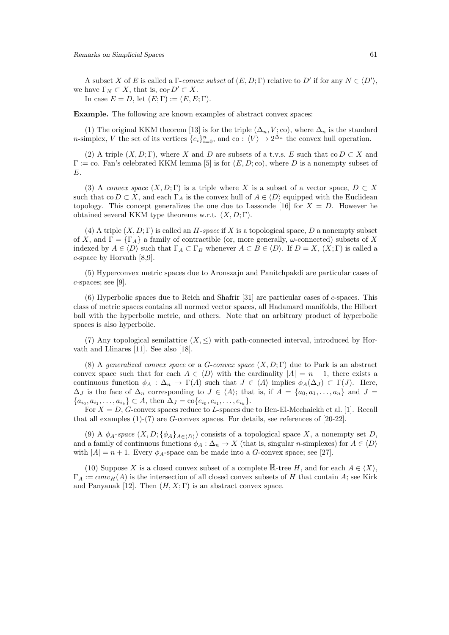A subset *X* of *E* is called a  $\Gamma$ -*convex subset* of  $(E, D; \Gamma)$  relative to  $D'$  if for any  $N \in \langle D' \rangle$ , we have  $\Gamma_N \subset X$ , that is,  $\text{co}_{\Gamma} D' \subset X$ . In case  $E = D$ , let  $(E; \Gamma) := (E, E; \Gamma)$ .

**Example.** The following are known examples of abstract convex spaces:

(1) The original KKM theorem [13] is for the triple  $(\Delta_n, V; \text{co})$ , where  $\Delta_n$  is the standard *n*-simplex, *V* the set of its vertices  $\{e_i\}_{i=0}^n$ , and co :  $\langle V \rangle \to 2^{\Delta_n}$  the convex hull operation.

(2) A triple  $(X, D; \Gamma)$ , where *X* and *D* are subsets of a t.v.s. *E* such that co  $D \subset X$  and  $\Gamma := \text{co. Fan's celebrated KKM lemma [5] is for  $(E, D; \text{co})$ , where D is a nonempty subset of$ *E*.

(3) A *convex space*  $(X, D; \Gamma)$  is a triple where X is a subset of a vector space,  $D \subset X$ such that co  $D \subset X$ , and each  $\Gamma_A$  is the convex hull of  $A \in \langle D \rangle$  equipped with the Euclidean topology. This concept generalizes the one due to Lassonde [16] for  $X = D$ . However he obtained several KKM type theorems w.r.t. (*X, D*; Γ).

(4) A triple  $(X, D; \Gamma)$  is called an *H*-*space* if X is a topological space, D a nonempty subset of *X*, and  $\Gamma = {\Gamma_A}$  a family of contractible (or, more generally, *ω*-connected) subsets of *X* indexed by  $A \in \langle D \rangle$  such that  $\Gamma_A \subset \Gamma_B$  whenever  $A \subset B \in \langle D \rangle$ . If  $D = X$ ,  $(X; \Gamma)$  is called a *c*-space by Horvath [8,9].

(5) Hyperconvex metric spaces due to Aronszajn and Panitchpakdi are particular cases of *c*-spaces; see [9].

(6) Hyperbolic spaces due to Reich and Shafrir [31] are particular cases of *c*-spaces. This class of metric spaces contains all normed vector spaces, all Hadamard manifolds, the Hilbert ball with the hyperbolic metric, and others. Note that an arbitrary product of hyperbolic spaces is also hyperbolic.

(7) Any topological semilattice  $(X, \leq)$  with path-connected interval, introduced by Horvath and Llinares [11]. See also [18].

(8) A *generalized convex space* or a *G*-*convex space* (*X, D*; Γ) due to Park is an abstract convex space such that for each  $A \in \langle D \rangle$  with the cardinality  $|A| = n + 1$ , there exists a continuous function  $\phi_A : \Delta_n \to \Gamma(A)$  such that  $J \in \langle A \rangle$  implies  $\phi_A(\Delta_J) \subset \Gamma(J)$ . Here,  $\Delta_J$  is the face of  $\Delta_n$  corresponding to  $J \in \langle A \rangle$ ; that is, if  $A = \{a_0, a_1, \ldots, a_n\}$  and  $J =$  ${a_{i_0}, a_{i_1}, \ldots, a_{i_k}} \subset A$ , then  $\Delta_J = \text{co}\{e_{i_0}, e_{i_1}, \ldots, e_{i_k}\}.$ 

For *X* = *D*, *G*-convex spaces reduce to *L*-spaces due to Ben-El-Mechaiekh et al. [1]. Recall that all examples (1)-(7) are *G*-convex spaces. For details, see references of [20-22].

(9) A  $\phi_A$ -*space*  $(X, D; {\phi_A}_{A \in (D)})$  consists of a topological space X, a nonempty set D, and a family of continuous functions  $\phi_A : \Delta_n \to X$  (that is, singular *n*-simplexes) for  $A \in \langle D \rangle$ with  $|A| = n + 1$ . Every  $\phi_A$ -space can be made into a *G*-convex space; see [27].

(10) Suppose *X* is a closed convex subset of a complete  $\mathbb{R}$ -tree *H*, and for each  $A \in \langle X \rangle$ ,  $\Gamma_A := conv_H(A)$  is the intersection of all closed convex subsets of *H* that contain *A*; see Kirk and Panyanak [12]. Then  $(H, X; \Gamma)$  is an abstract convex space.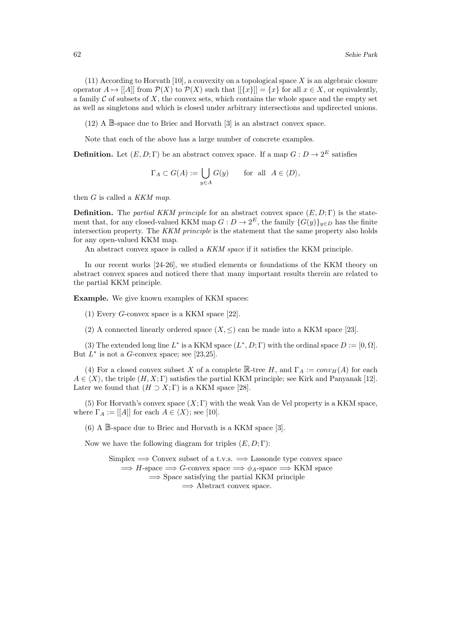(11) According to Horvath [10], a convexity on a topological space *X* is an algebraic closure operator  $A \mapsto |[A]|$  from  $\mathcal{P}(X)$  to  $\mathcal{P}(X)$  such that  $|[\{x\}]| = \{x\}$  for all  $x \in X$ , or equivalently, a family  $C$  of subsets of  $X$ , the convex sets, which contains the whole space and the empty set as well as singletons and which is closed under arbitrary intersections and updirected unions.

(12) A B-space due to Briec and Horvath [3] is an abstract convex space.

Note that each of the above has a large number of concrete examples.

**Definition.** Let  $(E, D; \Gamma)$  be an abstract convex space. If a map  $G: D \to 2^E$  satisfies

$$
\Gamma_A \subset G(A) := \bigcup_{y \in A} G(y)
$$
 for all  $A \in \langle D \rangle$ ,

then *G* is called a *KKM map*.

**Definition.** The *partial KKM principle* for an abstract convex space  $(E, D; \Gamma)$  is the statement that, for any closed-valued KKM map  $G: D \to 2^E$ , the family  $\{G(y)\}_{y \in D}$  has the finite intersection property. The *KKM principle* is the statement that the same property also holds for any open-valued KKM map.

An abstract convex space is called a *KKM space* if it satisfies the KKM principle.

In our recent works [24-26], we studied elements or foundations of the KKM theory on abstract convex spaces and noticed there that many important results therein are related to the partial KKM principle.

**Example.** We give known examples of KKM spaces:

(1) Every *G*-convex space is a KKM space [22].

(2) A connected linearly ordered space  $(X, \leq)$  can be made into a KKM space [23].

(3) The extended long line  $L^*$  is a KKM space  $(L^*, D; \Gamma)$  with the ordinal space  $D := [0, \Omega]$ . But  $L^*$  is not a *G*-convex space; see [23,25].

(4) For a closed convex subset *X* of a complete  $\mathbb{R}$ -tree *H*, and  $\Gamma_A := conv_H(A)$  for each  $A \in \langle X \rangle$ , the triple  $(H, X; \Gamma)$  satisfies the partial KKM principle; see Kirk and Panyanak [12]. Later we found that  $(H \supset X; \Gamma)$  is a KKM space [28].

(5) For Horvath's convex space  $(X; \Gamma)$  with the weak Van de Vel property is a KKM space, where  $\Gamma_A := [[A]]$  for each  $A \in \langle X \rangle$ ; see [10].

(6) A B-space due to Briec and Horvath is a KKM space [3].

Now we have the following diagram for triples (*E, D*; Γ):

Simplex =*⇒* Convex subset of a t.v.s. =*⇒* Lassonde type convex space  $\implies$  *H*-space  $\implies$  *G*-convex space  $\implies$   $\phi$ <sub>*A*</sub>-space  $\implies$  KKM space =*⇒* Space satisfying the partial KKM principle =*⇒* Abstract convex space.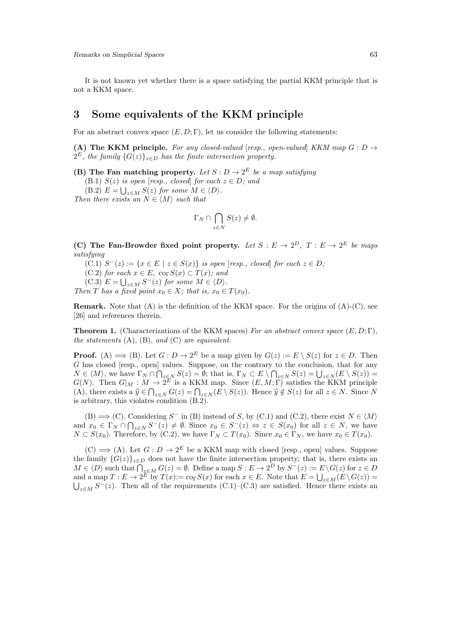It is not known yet whether there is a space satisfying the partial KKM principle that is not a KKM space.

#### **3 Some equivalents of the KKM principle**

For an abstract convex space  $(E, D; \Gamma)$ , let us consider the following statements:

**(A) The KKM principle.** For any closed-valued [resp., open-valued] *KKM* map  $G: D \rightarrow$  $2^E$ *, the family*  $\{G(z)\}_{z \in D}$  *has the finite intersection property.* 

**(B)** The Fan matching property. Let  $S: D \to 2^E$  be a map satisfying

(B.1) *S*(*z*) *is open* [*resp., closed*] *for each*  $z \in D$ *; and* 

 $(E.2)$   $E = \bigcup_{z \in M} S(z)$  for some  $M \in \langle D \rangle$ .

*Then there exists an*  $N \in \langle M \rangle$  *such that* 

$$
\Gamma_N \cap \bigcap_{z \in N} S(z) \neq \emptyset.
$$

**(C)** The Fan-Browder fixed point property. Let  $S : E \to 2^D$ ,  $T : E \to 2^E$  be maps *satisfying*

 $(C.1)$   $S^{-}(z) := \{x \in E \mid z \in S(x)\}$  is open [resp., closed] for each  $z \in D$ ;

 $(C.2)$  *for each*  $x \in E$ ,  $\text{co}_{\Gamma}S(x) \subset T(x)$ *; and* 

 $(C.3)$   $E = \bigcup_{z \in M} S^{-}(z)$  for some  $M \in \langle D \rangle$ .

*Then T has a fixed point*  $x_0 \in X$ *; that is,*  $x_0 \in T(x_0)$ *.* 

**Remark.** Note that (A) is the definition of the KKM space. For the origins of (A)-(C), see [26] and references therein.

**Theorem 1.** (Characterizations of the KKM spaces) *For an abstract convex space* (*E, D*; Γ)*, the statements* (A), (B), *and* (C) *are equivalent.*

**Proof.** (A)  $\implies$  (B). Let  $G: D \to 2^E$  be a map given by  $G(z) := E \setminus S(z)$  for  $z \in D$ . Then *G* has closed [resp., open] values. Suppose, on the contrary to the conclusion, that for any  $N \in \langle M \rangle$ , we have  $\Gamma_N \cap \bigcap_{z \in N} S(z) = \emptyset$ ; that is,  $\Gamma_N \subset E \setminus \bigcap_{z \in N} S(z) = \bigcup_{z \in N} (E \setminus S(z)) =$ *G*(*N*). Then  $G|_M : M \to 2^E$  is a KKM map. Since  $(E, M; \Gamma)$  satisfies the KKM principle (A), there exists a  $\hat{y} \in \bigcap_{z \in N} G(z) = \bigcap_{z \in N} (E \setminus S(z))$ . Hence  $\hat{y} \notin S(z)$  for all  $z \in N$ . Since N is arbitrary, this violates condition (B.2).

 $(B) \implies (C)$ . Considering *S*<sup>−</sup> in (B) instead of *S*, by (C.1) and (C.2), there exist  $N \in \langle M \rangle$ and  $x_0 \in \Gamma_N \cap \bigcap_{z \in N} S^{-}(z) \neq \emptyset$ . Since  $x_0 \in S^{-}(z) \Leftrightarrow z \in S(x_0)$  for all  $z \in N$ , we have  $N \subset S(x_0)$ . Therefore, by  $(C.2)$ , we have  $\Gamma_N \subset T(x_0)$ . Since  $x_0 \in \Gamma_N$ , we have  $x_0 \in T(x_0)$ .

 $(C) \implies (A)$ . Let  $G: D \to 2^E$  be a KKM map with closed [resp., open] values. Suppose the family  ${G(z)}_{z\in D}$  does not have the finite intersection property; that is, there exists an  $M \in \langle D \rangle$  such that  $\bigcap_{z \in M} G(z) = \emptyset$ . Define a map  $S : E \to 2^D$  by  $S^-(z) := E \setminus G(z)$  for  $z \in D$ and a map  $T : E \to 2^E$  by  $T(x) := \text{co}_\Gamma S(x)$  for each  $x \in E$ . Note that  $E = \bigcup_{z \in M} (E \setminus G(z)) =$  $\bigcup_{z \in M} S^{-}(z)$ . Then all of the requirements (C.1)–(C.3) are satisfied. Hence there exists an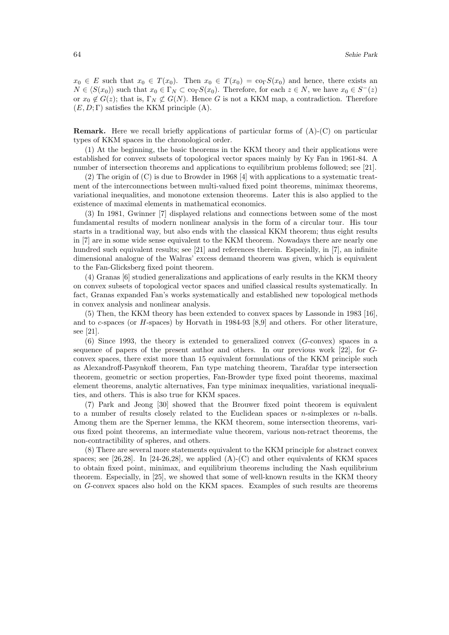$x_0 \in E$  such that  $x_0 \in T(x_0)$ . Then  $x_0 \in T(x_0) = \text{co}_\Gamma S(x_0)$  and hence, there exists an  $N \in \langle S(x_0) \rangle$  such that  $x_0 \in \Gamma_N \subset \text{co}_\Gamma S(x_0)$ . Therefore, for each  $z \in N$ , we have  $x_0 \in S^-(z)$ or  $x_0 \notin G(z)$ ; that is,  $\Gamma_N \not\subset G(N)$ . Hence *G* is not a KKM map, a contradiction. Therefore  $(E, D; \Gamma)$  satisfies the KKM principle  $(A)$ .

**Remark.** Here we recall briefly applications of particular forms of (A)-(C) on particular types of KKM spaces in the chronological order.

(1) At the beginning, the basic theorems in the KKM theory and their applications were established for convex subsets of topological vector spaces mainly by Ky Fan in 1961-84. A number of intersection theorems and applications to equilibrium problems followed; see [21].

(2) The origin of (C) is due to Browder in 1968 [4] with applications to a systematic treatment of the interconnections between multi-valued fixed point theorems, minimax theorems, variational inequalities, and monotone extension theorems. Later this is also applied to the existence of maximal elements in mathematical economics.

(3) In 1981, Gwinner [7] displayed relations and connections between some of the most fundamental results of modern nonlinear analysis in the form of a circular tour. His tour starts in a traditional way, but also ends with the classical KKM theorem; thus eight results in [7] are in some wide sense equivalent to the KKM theorem. Nowadays there are nearly one hundred such equivalent results; see [21] and references therein. Especially, in [7], an infinite dimensional analogue of the Walras' excess demand theorem was given, which is equivalent to the Fan-Glicksberg fixed point theorem.

(4) Granas [6] studied generalizations and applications of early results in the KKM theory on convex subsets of topological vector spaces and unified classical results systematically. In fact, Granas expanded Fan's works systematically and established new topological methods in convex analysis and nonlinear analysis.

(5) Then, the KKM theory has been extended to convex spaces by Lassonde in 1983 [16], and to *c*-spaces (or *H*-spaces) by Horvath in 1984-93 [8,9] and others. For other literature, see [21].

(6) Since 1993, the theory is extended to generalized convex (*G*-convex) spaces in a sequence of papers of the present author and others. In our previous work [22], for *G*convex spaces, there exist more than 15 equivalent formulations of the KKM principle such as Alexandroff-Pasynkoff theorem, Fan type matching theorem, Tarafdar type intersection theorem, geometric or section properties, Fan-Browder type fixed point theorems, maximal element theorems, analytic alternatives, Fan type minimax inequalities, variational inequalities, and others. This is also true for KKM spaces.

(7) Park and Jeong [30] showed that the Brouwer fixed point theorem is equivalent to a number of results closely related to the Euclidean spaces or *n*-simplexes or *n*-balls. Among them are the Sperner lemma, the KKM theorem, some intersection theorems, various fixed point theorems, an intermediate value theorem, various non-retract theorems, the non-contractibility of spheres, and others.

(8) There are several more statements equivalent to the KKM principle for abstract convex spaces; see [26,28]. In [24-26,28], we applied  $(A)$ - $(C)$  and other equivalents of KKM spaces to obtain fixed point, minimax, and equilibrium theorems including the Nash equilibrium theorem. Especially, in [25], we showed that some of well-known results in the KKM theory on *G*-convex spaces also hold on the KKM spaces. Examples of such results are theorems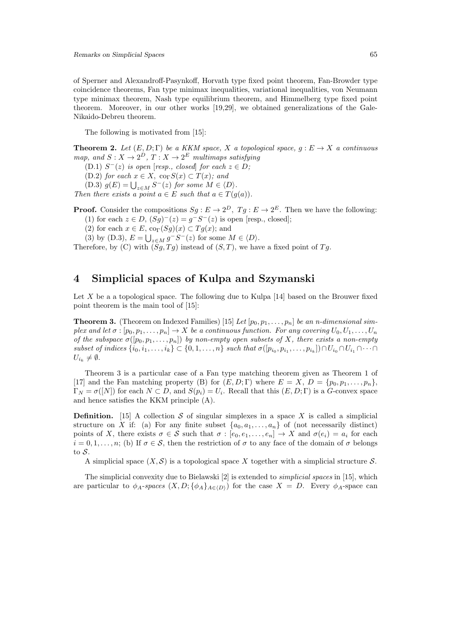of Sperner and Alexandroff-Pasynkoff, Horvath type fixed point theorem, Fan-Browder type coincidence theorems, Fan type minimax inequalities, variational inequalities, von Neumann type minimax theorem, Nash type equilibrium theorem, and Himmelberg type fixed point theorem. Moreover, in our other works [19,29], we obtained generalizations of the Gale-Nikaido-Debreu theorem.

The following is motivated from [15]:

**Theorem 2.** Let  $(E, D; \Gamma)$  be a KKM space, X a topological space,  $g: E \to X$  a continuous *map, and*  $S: X \to 2^D, T: X \to 2^E$  *multimaps satisfying* 

 $(D.1)$   $S^{-}(z)$  *is open* [*resp., closed*] *for each*  $z \in D$ *;* 

 $(D.2)$  *for each*  $x \in X$ ,  $\text{co}_{\Gamma}S(x) \subset T(x)$ *; and* 

 $(D.3)$   $g(E) = \bigcup_{z \in M} S^{-}(z)$  for some  $M \in \langle D \rangle$ .

*Then there exists a point*  $a \in E$  *such that*  $a \in T(g(a))$ *.* 

**Proof.** Consider the compositions  $Sg : E \to 2^D$ ,  $Tg : E \to 2^E$ . Then we have the following:

(1) for each  $z \in D$ ,  $(Sg)^{-}(z) = g^{-}S^{-}(z)$  is open [resp., closed];

(2) for each  $x \in E$ ,  $\text{co}_{\Gamma}(Sg)(x) \subset Tg(x)$ ; and

 $(3)$  by  $(D.3)$ ,  $E = \bigcup_{z \in M} g^{-}S^{-}(z)$  for some  $M \in \langle D \rangle$ .

Therefore, by (C) with  $(Sq, Tq)$  instead of  $(S, T)$ , we have a fixed point of  $Tq$ .

#### **4 Simplicial spaces of Kulpa and Szymanski**

Let X be a a topological space. The following due to Kulpa [14] based on the Brouwer fixed point theorem is the main tool of [15]:

**Theorem 3.** (Theorem on Indexed Families) [15] Let  $[p_0, p_1, \ldots, p_n]$  be an n-dimensional sim*plex and let*  $\sigma : [p_0, p_1, \ldots, p_n] \to X$  *be a continuous function. For any covering*  $U_0, U_1, \ldots, U_n$ *of the subspace*  $\sigma([p_0, p_1, \ldots, p_n])$  *by non-empty open subsets of X, there exists a non-empty* subset of indices  $\{i_0, i_1, \ldots, i_k\} \subset \{0, 1, \ldots, n\}$  such that  $\sigma([p_{i_0}, p_{i_1}, \ldots, p_{i_k}]) \cap U_{i_0} \cap U_{i_1} \cap \cdots \cap$  $U_{i_k} \neq \emptyset$ .

Theorem 3 is a particular case of a Fan type matching theorem given as Theorem 1 of [17] and the Fan matching property (B) for  $(E, D; \Gamma)$  where  $E = X$ ,  $D = \{p_0, p_1, \ldots, p_n\}$  $\Gamma_N = \sigma([N])$  for each  $N \subset D$ , and  $S(p_i) = U_i$ . Recall that this  $(E, D; \Gamma)$  is a *G*-convex space and hence satisfies the KKM principle (A).

**Definition.** [15] A collection  $S$  of singular simplexes in a space  $X$  is called a simplicial structure on *X* if: (a) For any finite subset  $\{a_0, a_1, \ldots, a_n\}$  of (not necessarily distinct) points of *X*, there exists  $\sigma \in \mathcal{S}$  such that  $\sigma : [e_0, e_1, \ldots, e_n] \to X$  and  $\sigma(e_i) = a_i$  for each  $i = 0, 1, \ldots, n$ ; (b) If  $\sigma \in \mathcal{S}$ , then the restriction of  $\sigma$  to any face of the domain of  $\sigma$  belongs to *S*.

A simplicial space  $(X, \mathcal{S})$  is a topological space X together with a simplicial structure  $\mathcal{S}$ .

The simplicial convexity due to Bielawski [2] is extended to *simplicial spaces* in [15], which are particular to  $\phi_A$ -spaces  $(X, D; {\phi_A}_{A \in (D)})$  for the case  $X = D$ . Every  $\phi_A$ -space can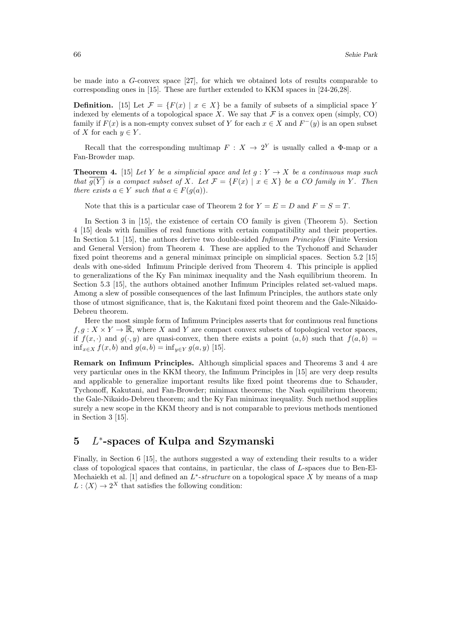be made into a *G*-convex space [27], for which we obtained lots of results comparable to corresponding ones in [15]. These are further extended to KKM spaces in [24-26,28].

**Definition.** [15] Let  $\mathcal{F} = \{F(x) | x \in X\}$  be a family of subsets of a simplicial space *Y* indexed by elements of a topological space *X*. We say that  $\mathcal F$  is a convex open (simply, CO) family if  $F(x)$  is a non-empty convex subset of Y for each  $x \in X$  and  $F^{-}(y)$  is an open subset of *X* for each  $y \in Y$ .

Recall that the corresponding multimap  $F: X \to 2^Y$  is usually called a  $\Phi$ -map or a Fan-Browder map.

**Theorem 4.** [15] *Let Y be a simplicial space and let*  $g: Y \to X$  *be a continuous map such that*  $\overline{g(Y)}$  *is a compact subset of X. Let*  $\mathcal{F} = \{F(x) \mid x \in X\}$  *be a CO family in Y*. Then *there exists*  $a \in Y$  *such that*  $a \in F(g(a))$ *.* 

Note that this is a particular case of Theorem 2 for  $Y = E = D$  and  $F = S = T$ .

In Section 3 in [15], the existence of certain CO family is given (Theorem 5). Section 4 [15] deals with families of real functions with certain compatibility and their properties. In Section 5.1 [15], the authors derive two double-sided *Infimum Principles* (Finite Version and General Version) from Theorem 4. These are applied to the Tychonoff and Schauder fixed point theorems and a general minimax principle on simplicial spaces. Section 5.2 [15] deals with one-sided Infimum Principle derived from Theorem 4. This principle is applied to generalizations of the Ky Fan minimax inequality and the Nash equilibrium theorem. In Section 5.3 [15], the authors obtained another Infimum Principles related set-valued maps. Among a slew of possible consequences of the last Infimum Principles, the authors state only those of utmost significance, that is, the Kakutani fixed point theorem and the Gale-Nikaido-Debreu theorem.

Here the most simple form of Infimum Principles asserts that for continuous real functions  $f, g: X \times Y \to \mathbb{R}$ , where X and Y are compact convex subsets of topological vector spaces, if  $f(x, \cdot)$  and  $g(\cdot, y)$  are quasi-convex, then there exists a point  $(a, b)$  such that  $f(a, b)$ inf<sub>*x*∈*X*</sub>  $f(x, b)$  and  $g(a, b) = \inf_{y \in Y} g(a, y)$  [15].

**Remark on Infimum Principles.** Although simplicial spaces and Theorems 3 and 4 are very particular ones in the KKM theory, the Infimum Principles in [15] are very deep results and applicable to generalize important results like fixed point theorems due to Schauder, Tychonoff, Kakutani, and Fan-Browder; minimax theorems; the Nash equilibrium theorem; the Gale-Nikaido-Debreu theorem; and the Ky Fan minimax inequality. Such method supplies surely a new scope in the KKM theory and is not comparable to previous methods mentioned in Section 3 [15].

## **5** *L ∗* **-spaces of Kulpa and Szymanski**

Finally, in Section 6 [15], the authors suggested a way of extending their results to a wider class of topological spaces that contains, in particular, the class of *L*-spaces due to Ben-El-Mechaiekh et al. [1] and defined an *L ∗* -*structure* on a topological space *X* by means of a map  $L: \langle X \rangle \to 2^X$  that satisfies the following condition: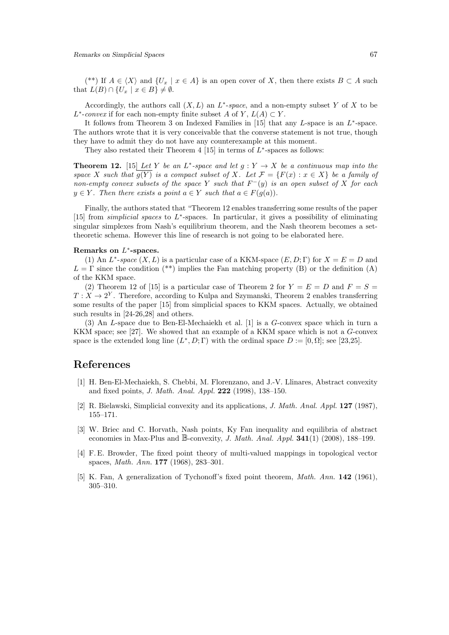(\*\*) If  $A \in \langle X \rangle$  and  $\{U_x \mid x \in A\}$  is an open cover of X, then there exists  $B \subset A$  such that  $L(B) \cap \{U_x \mid x \in B\} \neq \emptyset$ .

Accordingly, the authors call  $(X, L)$  an  $L^*$ -space, and a non-empty subset Y of X to be  $L^*$ -*convex* if for each non-empty finite subset *A* of *Y*,  $L(A) \subset Y$ .

It follows from Theorem 3 on Indexed Families in [15] that any *L*-space is an *L ∗* -space. The authors wrote that it is very conceivable that the converse statement is not true, though they have to admit they do not have any counterexample at this moment.

They also restated their Theorem 4 [15] in terms of *L ∗* -spaces as follows:

**Theorem 12.** [15] Let Y be an  $L^*$ -space and let  $g: Y \to X$  be a continuous map into the *space X such that*  $\overline{g(Y)}$  *is a compact subset of X. Let*  $\mathcal{F} = \{F(x) : x \in X\}$  *be a family of non-empty convex subsets of the space Y such that F <sup>−</sup>*(*y*) *is an open subset of X for each*  $y \in Y$ *. Then there exists a point*  $a \in Y$  *such that*  $a \in F(g(a))$ *.* 

Finally, the authors stated that "Theorem 12 enables transferring some results of the paper [15] from *simplicial spaces* to *L ∗* -spaces. In particular, it gives a possibility of eliminating singular simplexes from Nash's equilibrium theorem, and the Nash theorem becomes a settheoretic schema. However this line of research is not going to be elaborated here.

#### **Remarks on** *L ∗* **-spaces.**

(1) An  $L^*$ -*space*  $(X, L)$  is a particular case of a KKM-space  $(E, D; \Gamma)$  for  $X = E = D$  and  $L = \Gamma$  since the condition (\*\*) implies the Fan matching property (B) or the definition (A) of the KKM space.

(2) Theorem 12 of [15] is a particular case of Theorem 2 for  $Y = E = D$  and  $F = S =$  $T: X \to 2^Y$ . Therefore, according to Kulpa and Szymanski, Theorem 2 enables transferring some results of the paper [15] from simplicial spaces to KKM spaces. Actually, we obtained such results in [24-26,28] and others.

(3) An *L*-space due to Ben-El-Mechaiekh et al. [1] is a *G*-convex space which in turn a KKM space; see [27]. We showed that an example of a KKM space which is not a *G*-convex space is the extended long line  $(L^*, D; \Gamma)$  with the ordinal space  $D := [0, \Omega]$ ; see [23,25].

#### **References**

- [1] H. Ben-El-Mechaiekh, S. Chebbi, M. Florenzano, and J.-V. Llinares, Abstract convexity and fixed points, *J. Math. Anal. Appl.* **222** (1998), 138–150.
- [2] R. Bielawski, Simplicial convexity and its applications, *J. Math. Anal. Appl.* **127** (1987), 155–171.
- [3] W. Briec and C. Horvath, Nash points, Ky Fan inequality and equilibria of abstract economies in Max-Plus and B-convexity, *J. Math. Anal. Appl.* **341**(1) (2008), 188–199.
- [4] F. E. Browder, The fixed point theory of multi-valued mappings in topological vector spaces, *Math. Ann.* **177** (1968), 283–301.
- [5] K. Fan, A generalization of Tychonoff's fixed point theorem, *Math. Ann.* **142** (1961), 305–310.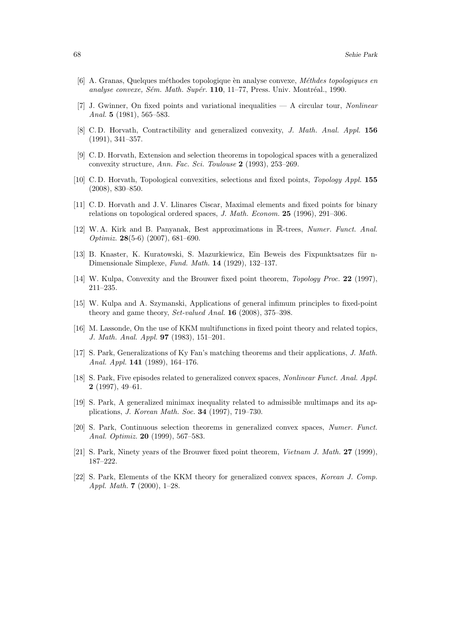- [6] A. Granas, Quelques m´ethodes topologique `en analyse convexe, *M´ethdes topologiques en analyse convexe, Sém. Math. Supér.* 110, 11–77, Press. Univ. Montréal., 1990.
- [7] J. Gwinner, On fixed points and variational inequalities A circular tour, *Nonlinear Anal.* **5** (1981), 565–583.
- [8] C. D. Horvath, Contractibility and generalized convexity, *J. Math. Anal. Appl.* **156** (1991), 341–357.
- [9] C. D. Horvath, Extension and selection theorems in topological spaces with a generalized convexity structure, *Ann. Fac. Sci. Toulouse* **2** (1993), 253–269.
- [10] C. D. Horvath, Topological convexities, selections and fixed points, *Topology Appl.* **155** (2008), 830–850.
- [11] C. D. Horvath and J. V. Llinares Ciscar, Maximal elements and fixed points for binary relations on topological ordered spaces, *J. Math. Econom.* **25** (1996), 291–306.
- [12] W. A. Kirk and B. Panyanak, Best approximations in R-trees, *Numer. Funct. Anal. Optimiz.* **28**(5-6) (2007), 681–690.
- [13] B. Knaster, K. Kuratowski, S. Mazurkiewicz, Ein Beweis des Fixpunktsatzes für n-Dimensionale Simplexe, *Fund. Math.* **14** (1929), 132–137.
- [14] W. Kulpa, Convexity and the Brouwer fixed point theorem, *Topology Proc.* **22** (1997), 211–235.
- [15] W. Kulpa and A. Szymanski, Applications of general infimum principles to fixed-point theory and game theory, *Set-valued Anal.* **16** (2008), 375–398.
- [16] M. Lassonde, On the use of KKM multifunctions in fixed point theory and related topics, *J. Math. Anal. Appl.* **97** (1983), 151–201.
- [17] S. Park, Generalizations of Ky Fan's matching theorems and their applications, *J. Math. Anal. Appl.* **141** (1989), 164–176.
- [18] S. Park, Five episodes related to generalized convex spaces, *Nonlinear Funct. Anal. Appl.* **2** (1997), 49–61.
- [19] S. Park, A generalized minimax inequality related to admissible multimaps and its applications, *J. Korean Math. Soc.* **34** (1997), 719–730.
- [20] S. Park, Continuous selection theorems in generalized convex spaces, *Numer. Funct. Anal. Optimiz.* **20** (1999), 567–583.
- [21] S. Park, Ninety years of the Brouwer fixed point theorem, *Vietnam J. Math.* **27** (1999), 187–222.
- [22] S. Park, Elements of the KKM theory for generalized convex spaces, *Korean J. Comp. Appl. Math.* **7** (2000), 1–28.